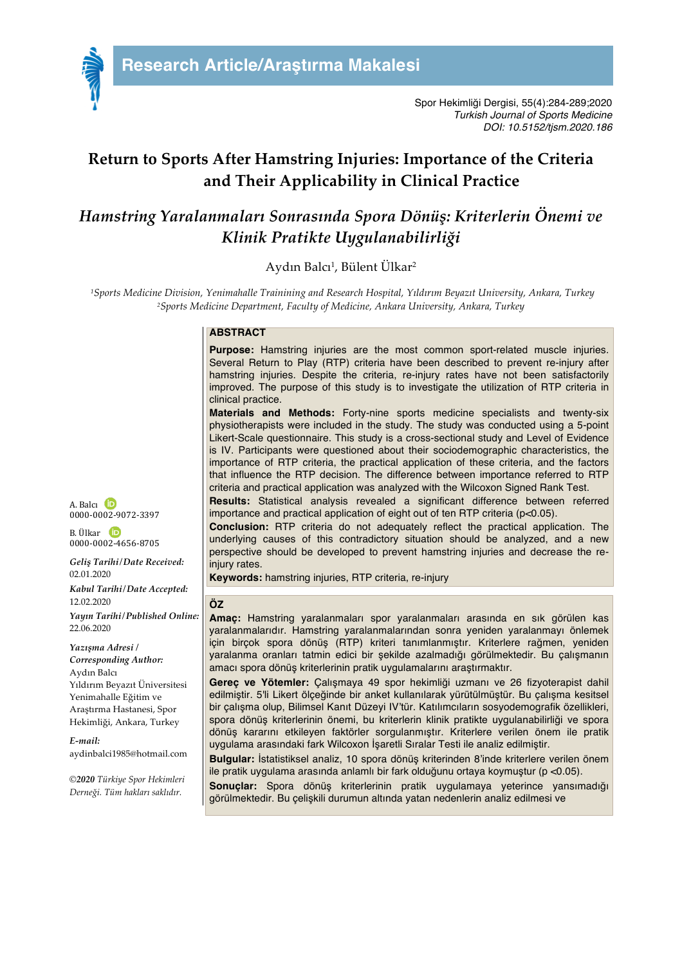

Spor Hekimliği Dergisi, 55(4):284-289;2020 *Turkish Journal of Sports Medicine DOI: 10.5152/tjsm.2020.186*

# **Return to Sports After Hamstring Injuries: Importance of the Criteria and Their Applicability in Clinical Practice**

# *Hamstring Yaralanmaları Sonrasında Spora Dönüş: Kriterlerin Önemi ve Klinik Pratikte Uygulanabilirliği*

Aydın Balcı<sup>1</sup>, Bülent Ülkar<sup>2</sup>

*1Sports Medicine Division, Yenimahalle Trainining and Research Hospital, Yıldırım Beyazıt University, Ankara, Turkey 2Sports Medicine Department, Faculty of Medicine, Ankara University, Ankara, Turkey*

### **ABSTRACT**

**Purpose:** Hamstring injuries are the most common sport-related muscle injuries. Several Return to Play (RTP) criteria have been described to prevent re-injury after hamstring injuries. Despite the criteria, re-injury rates have not been satisfactorily improved. The purpose of this study is to investigate the utilization of RTP criteria in clinical practice.

**Materials and Methods:** Forty-nine sports medicine specialists and twenty-six physiotherapists were included in the study. The study was conducted using a 5-point Likert-Scale questionnaire. This study is a cross-sectional study and Level of Evidence is IV. Participants were questioned about their sociodemographic characteristics, the importance of RTP criteria, the practical application of these criteria, and the factors that influence the RTP decision. The difference between importance referred to RTP criteria and practical application was analyzed with the Wilcoxon Signed Rank Test.

**Results:** Statistical analysis revealed a significant difference between referred importance and practical application of eight out of ten RTP criteria (p<0.05).

**Conclusion:** RTP criteria do not adequately reflect the practical application. The underlying causes of this contradictory situation should be analyzed, and a new perspective should be developed to prevent hamstring injuries and decrease the reinjury rates.

**Keywords:** hamstring injuries, RTP criteria, re-injury

#### **ÖZ**

**Amaç:** Hamstring yaralanmaları spor yaralanmaları arasında en sık görülen kas yaralanmalarıdır. Hamstring yaralanmalarından sonra yeniden yaralanmayı önlemek için birçok spora dönüş (RTP) kriteri tanımlanmıştır. Kriterlere rağmen, yeniden yaralanma oranları tatmin edici bir şekilde azalmadığı görülmektedir. Bu çalışmanın amacı spora dönüş kriterlerinin pratik uygulamalarını araştırmaktır.

**Gereç ve Yötemler:** Çalışmaya 49 spor hekimliği uzmanı ve 26 fizyoterapist dahil edilmiştir. 5'li Likert ölçeğinde bir anket kullanılarak yürütülmüştür. Bu çalışma kesitsel bir çalışma olup, Bilimsel Kanıt Düzeyi IV'tür. Katılımcıların sosyodemografik özellikleri, spora dönüş kriterlerinin önemi, bu kriterlerin klinik pratikte uygulanabilirliği ve spora dönüş kararını etkileyen faktörler sorgulanmıştır. Kriterlere verilen önem ile pratik uygulama arasındaki fark Wilcoxon İşaretli Sıralar Testi ile analiz edilmiştir.

**Bulgular:** İstatistiksel analiz, 10 spora dönüş kriterinden 8'inde kriterlere verilen önem ile pratik uygulama arasında anlamlı bir fark olduğunu ortaya koymuştur (p <0.05).

**Sonuçlar:** Spora dönüş kriterlerinin pratik uygulamaya yeterince yansımadığı görülmektedir. Bu çelişkili durumun altında yatan nedenlerin analiz edilmesi ve

A. Balcı <sup>D</sup> 0000-0002-9072-3397

B. Ülkar 0000-0002-4656-8705

*Geliş Tarihi/Date Received:* 02.01.2020 *Kabul Tarihi/Date Accepted:*

12.02.2020

*Yayın Tarihi/Published Online:* 22.06.2020

*Yazışma Adresi / Corresponding Author:* Aydın Balcı Yıldırım Beyazıt Üniversitesi Yenimahalle Eğitim ve Araştırma Hastanesi, Spor Hekimliği, Ankara, Turkey

*E-mail:* aydinbalci1985@hotmail.com

*©2020 Türkiye Spor Hekimleri Derneği. Tüm hakları saklıdır.*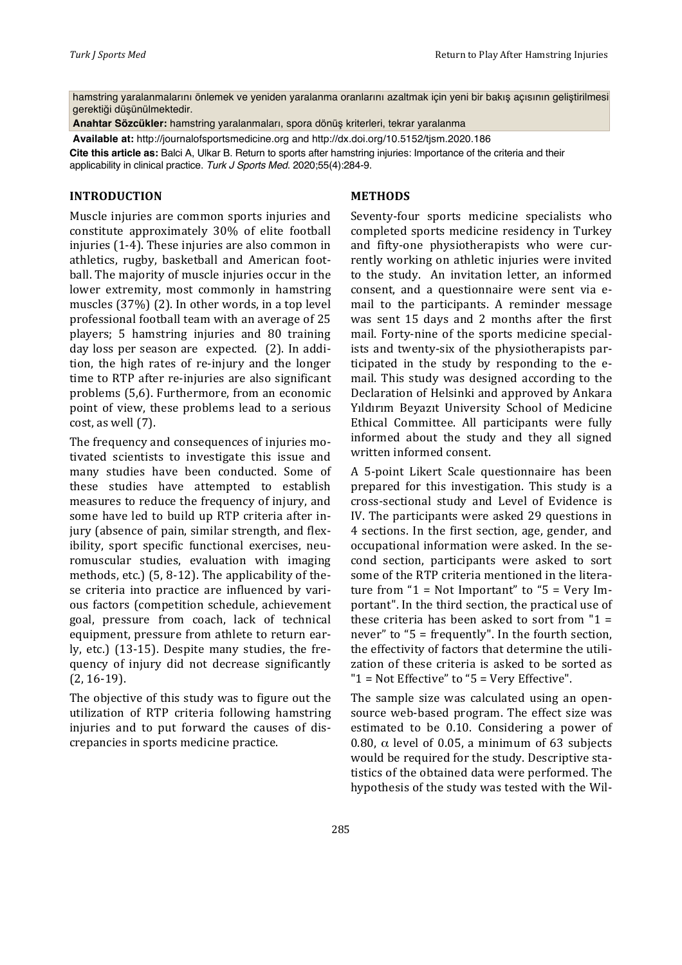hamstring yaralanmalarını önlemek ve yeniden yaralanma oranlarını azaltmak için yeni bir bakış açısının geliştirilmesi gerektiği düşünülmektedir.

**Anahtar Sözcükler:** hamstring yaralanmaları, spora dönüş kriterleri, tekrar yaralanma

**Available at:** http://journalofsportsmedicine.org and http://dx.doi.org/10.5152/tjsm.2020.186

**Cite this article as:** Balci A, Ulkar B. Return to sports after hamstring injuries: Importance of the criteria and their applicability in clinical practice. *Turk J Sports Med*. 2020;55(4):284-9.

## **INTRODUCTION**

Muscle injuries are common sports injuries and constitute approximately 30% of elite football injuries  $(1-4)$ . These injuries are also common in athletics, rugby, basketball and American football. The majority of muscle injuries occur in the lower extremity, most commonly in hamstring muscles  $(37%)$   $(2)$ . In other words, in a top level professional football team with an average of 25 players; 5 hamstring injuries and 80 training day loss per season are expected. (2). In addition, the high rates of re-injury and the longer time to RTP after re-injuries are also significant problems (5,6). Furthermore, from an economic point of view, these problems lead to a serious  $cost$ , as well  $(7)$ .

The frequency and consequences of injuries motivated scientists to investigate this issue and many studies have been conducted. Some of these studies have attempted to establish measures to reduce the frequency of injury, and some have led to build up RTP criteria after injury (absence of pain, similar strength, and flexibility, sport specific functional exercises, neuromuscular studies, evaluation with imaging methods, etc.)  $(5, 8-12)$ . The applicability of these criteria into practice are influenced by various factors (competition schedule, achievement goal, pressure from coach, lack of technical equipment, pressure from athlete to return early, etc.)  $(13-15)$ . Despite many studies, the frequency of injury did not decrease significantly  $(2.16-19)$ .

The objective of this study was to figure out the utilization of RTP criteria following hamstring injuries and to put forward the causes of discrepancies in sports medicine practice.

## **METHODS**

Seventy-four sports medicine specialists who completed sports medicine residency in Turkey and fifty-one physiotherapists who were currently working on athletic injuries were invited to the study. An invitation letter, an informed consent, and a questionnaire were sent via email to the participants. A reminder message was sent 15 days and 2 months after the first mail. Forty-nine of the sports medicine specialists and twenty-six of the physiotherapists participated in the study by responding to the  $e$ mail. This study was designed according to the Declaration of Helsinki and approved by Ankara Yıldırım Beyazıt University School of Medicine Ethical Committee. All participants were fully informed about the study and they all signed written informed consent.

A 5-point Likert Scale questionnaire has been prepared for this investigation. This study is a cross-sectional study and Level of Evidence is IV. The participants were asked 29 questions in 4 sections. In the first section, age, gender, and occupational information were asked. In the second section, participants were asked to sort some of the RTP criteria mentioned in the literature from "1 = Not Important" to "5 = Very Important". In the third section, the practical use of these criteria has been asked to sort from  $"1 =$ never" to " $5$  = frequently". In the fourth section, the effectivity of factors that determine the utilization of these criteria is asked to be sorted as " $1$  = Not Effective" to " $5$  = Very Effective".

The sample size was calculated using an opensource web-based program. The effect size was estimated to be 0.10. Considering a power of 0.80,  $\alpha$  level of 0.05, a minimum of 63 subjects would be required for the study. Descriptive statistics of the obtained data were performed. The hypothesis of the study was tested with the Wil-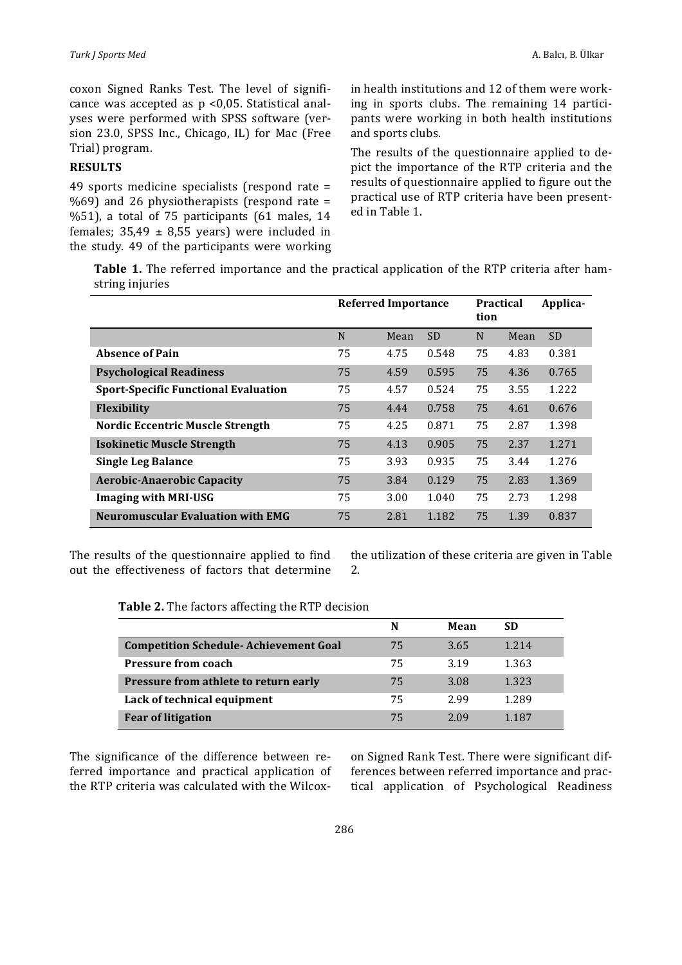coxon Signed Ranks Test. The level of significance was accepted as  $p \le 0.05$ . Statistical analyses were performed with SPSS software (version 23.0, SPSS Inc., Chicago, IL) for Mac (Free Trial) program.

## **RESULTS**

49 sports medicine specialists (respond rate  $=$  $%69$ ) and 26 physiotherapists (respond rate = %51), a total of  $75$  participants  $(61$  males,  $14$ females;  $35,49 \pm 8,55$  years) were included in the study. 49 of the participants were working in health institutions and 12 of them were working in sports clubs. The remaining 14 participants were working in both health institutions and sports clubs.

The results of the questionnaire applied to depict the importance of the RTP criteria and the results of questionnaire applied to figure out the practical use of RTP criteria have been presented in Table 1.

**Table 1.** The referred importance and the practical application of the RTP criteria after hamstring injuries

|                                             | <b>Referred Importance</b> |      |           | <b>Practical</b><br>tion |      | Applica-  |
|---------------------------------------------|----------------------------|------|-----------|--------------------------|------|-----------|
|                                             | N                          | Mean | <b>SD</b> | N                        | Mean | <b>SD</b> |
| <b>Absence of Pain</b>                      | 75                         | 4.75 | 0.548     | 75                       | 4.83 | 0.381     |
| <b>Psychological Readiness</b>              | 75                         | 4.59 | 0.595     | 75                       | 4.36 | 0.765     |
| <b>Sport-Specific Functional Evaluation</b> | 75                         | 4.57 | 0.524     | 75                       | 3.55 | 1.222     |
| <b>Flexibility</b>                          | 75                         | 4.44 | 0.758     | 75                       | 4.61 | 0.676     |
| <b>Nordic Eccentric Muscle Strength</b>     | 75                         | 4.25 | 0.871     | 75                       | 2.87 | 1.398     |
| <b>Isokinetic Muscle Strength</b>           | 75                         | 4.13 | 0.905     | 75                       | 2.37 | 1.271     |
| <b>Single Leg Balance</b>                   | 75                         | 3.93 | 0.935     | 75                       | 3.44 | 1.276     |
| <b>Aerobic-Anaerobic Capacity</b>           | 75                         | 3.84 | 0.129     | 75                       | 2.83 | 1.369     |
| <b>Imaging with MRI-USG</b>                 | 75                         | 3.00 | 1.040     | 75                       | 2.73 | 1.298     |
| <b>Neuromuscular Evaluation with EMG</b>    | 75                         | 2.81 | 1.182     | 75                       | 1.39 | 0.837     |

The results of the questionnaire applied to find out the effectiveness of factors that determine

the utilization of these criteria are given in Table 2.

|  | <b>Table 2.</b> The factors affecting the RTP decision |  |  |  |
|--|--------------------------------------------------------|--|--|--|
|--|--------------------------------------------------------|--|--|--|

|                                               | N  | Mean | SD      |
|-----------------------------------------------|----|------|---------|
| <b>Competition Schedule- Achievement Goal</b> | 75 | 3.65 | 1 2 1 4 |
| <b>Pressure from coach</b>                    | 75 | 3.19 | 1.363   |
| Pressure from athlete to return early         | 75 | 3.08 | 1.323   |
| Lack of technical equipment                   | 75 | 2.99 | 1.289   |
| <b>Fear of litigation</b>                     | 75 | 2.09 | 1 1 8 7 |

The significance of the difference between referred importance and practical application of the RTP criteria was calculated with the Wilcoxon Signed Rank Test. There were significant differences between referred importance and practical application of Psychological Readiness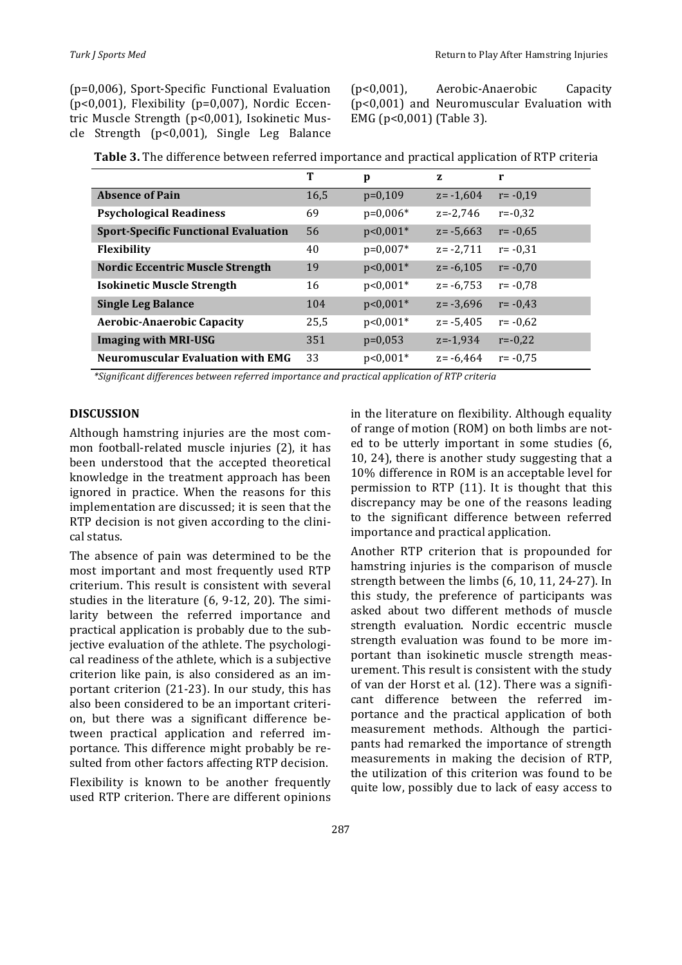$(p=0,006)$ , Sport-Specific Functional Evaluation ( $p<0,001$ ), Flexibility ( $p=0,007$ ), Nordic Eccentric Muscle Strength (p<0,001), Isokinetic Muscle Strength  $(p<0,001)$ , Single Leg Balance  $(p<0,001)$ , Aerobic-Anaerobic Capacity  $(p<0,001)$  and Neuromuscular Evaluation with EMG ( $p<0,001$ ) (Table 3).

|                                             | T    | p          | z            |             |
|---------------------------------------------|------|------------|--------------|-------------|
| <b>Absence of Pain</b>                      | 16.5 | $p=0,109$  | $z = -1,604$ | $r = -0.19$ |
| <b>Psychological Readiness</b>              | 69   | $p=0,006*$ | $z=-2,746$   | $r = -0.32$ |
| <b>Sport-Specific Functional Evaluation</b> | 56   | $p<0,001*$ | $z = -5.663$ | $r = -0.65$ |
| <b>Flexibility</b>                          | 40   | $p=0,007*$ | $z = -2,711$ | $r = -0.31$ |
| <b>Nordic Eccentric Muscle Strength</b>     | 19   | $p<0,001*$ | $z = -6.105$ | $r = -0.70$ |
| <b>Isokinetic Muscle Strength</b>           | 16   | $p<0,001*$ | $z = -6,753$ | $r = -0.78$ |
| <b>Single Leg Balance</b>                   | 104  | $p<0,001*$ | $z = -3.696$ | $r = -0.43$ |
| <b>Aerobic-Anaerobic Capacity</b>           | 25,5 | $p<0,001*$ | $z = -5.405$ | $r = -0.62$ |
| <b>Imaging with MRI-USG</b>                 | 351  | $p=0.053$  | $z = -1.934$ | $r = -0.22$ |
| <b>Neuromuscular Evaluation with EMG</b>    | 33   | $p<0,001*$ | $z = -6.464$ | $r = -0.75$ |

**Table 3.** The difference between referred importance and practical application of RTP criteria

*\*Significant differences between referred importance and practical application of RTP criteria*

## **DISCUSSION**

Although hamstring injuries are the most common football-related muscle injuries (2), it has been understood that the accepted theoretical knowledge in the treatment approach has been ignored in practice. When the reasons for this implementation are discussed; it is seen that the RTP decision is not given according to the clinical status. 

The absence of pain was determined to be the most important and most frequently used RTP criterium. This result is consistent with several studies in the literature  $(6, 9-12, 20)$ . The similarity between the referred importance and practical application is probably due to the subjective evaluation of the athlete. The psychological readiness of the athlete, which is a subjective criterion like pain, is also considered as an important criterion  $(21-23)$ . In our study, this has also been considered to be an important criterion, but there was a significant difference between practical application and referred importance. This difference might probably be resulted from other factors affecting RTP decision.

Flexibility is known to be another frequently used RTP criterion. There are different opinions  in the literature on flexibility. Although equality of range of motion (ROM) on both limbs are noted to be utterly important in some studies (6, 10, 24), there is another study suggesting that a 10% difference in ROM is an acceptable level for permission to RTP  $(11)$ . It is thought that this discrepancy may be one of the reasons leading to the significant difference between referred importance and practical application.

Another RTP criterion that is propounded for hamstring injuries is the comparison of muscle strength between the limbs  $(6, 10, 11, 24-27)$ . In this study, the preference of participants was asked about two different methods of muscle strength evaluation. Nordic eccentric muscle strength evaluation was found to be more important than isokinetic muscle strength measurement. This result is consistent with the study of van der Horst et al. (12). There was a significant difference between the referred importance and the practical application of both measurement methods. Although the participants had remarked the importance of strength measurements in making the decision of RTP, the utilization of this criterion was found to be quite low, possibly due to lack of easy access to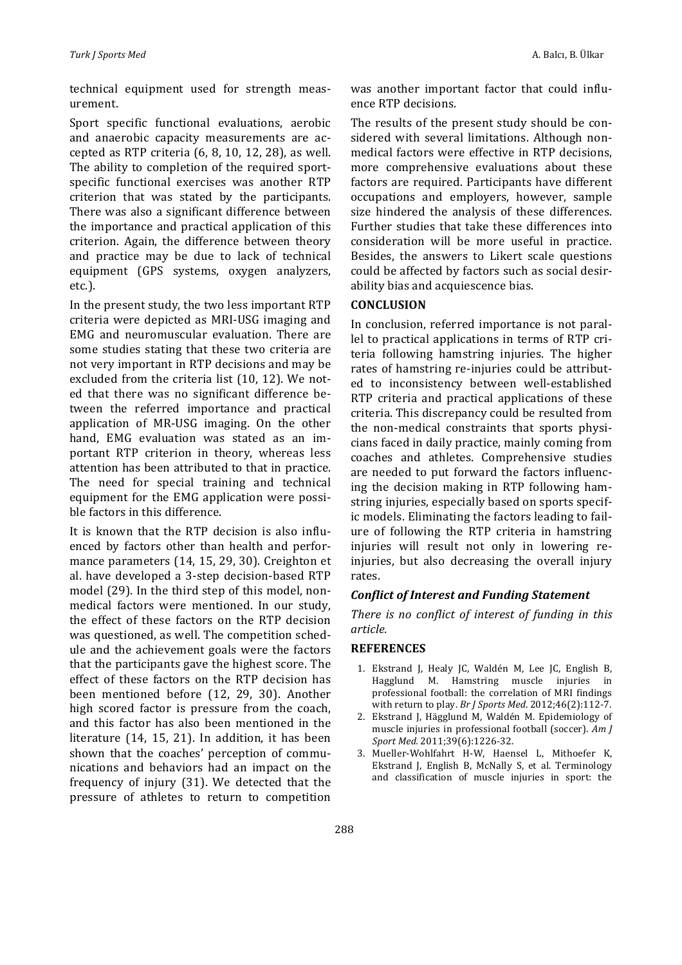technical equipment used for strength measurement.

Sport specific functional evaluations, aerobic and anaerobic capacity measurements are accepted as RTP criteria  $(6, 8, 10, 12, 28)$ , as well. The ability to completion of the required sportspecific functional exercises was another RTP criterion that was stated by the participants. There was also a significant difference between the importance and practical application of this criterion. Again, the difference between theory and practice may be due to lack of technical equipment (GPS systems, oxygen analyzers, etc.).

In the present study, the two less important RTP criteria were depicted as MRI-USG imaging and EMG and neuromuscular evaluation. There are some studies stating that these two criteria are not very important in RTP decisions and may be excluded from the criteria list (10, 12). We noted that there was no significant difference between the referred importance and practical application of MR-USG imaging. On the other hand, EMG evaluation was stated as an important RTP criterion in theory, whereas less attention has been attributed to that in practice. The need for special training and technical equipment for the EMG application were possible factors in this difference.

It is known that the RTP decision is also influenced by factors other than health and performance parameters (14, 15, 29, 30). Creighton et al. have developed a 3-step decision-based RTP model (29). In the third step of this model, nonmedical factors were mentioned. In our study, the effect of these factors on the RTP decision was questioned, as well. The competition schedule and the achievement goals were the factors that the participants gave the highest score. The effect of these factors on the RTP decision has been mentioned before (12, 29, 30). Another high scored factor is pressure from the coach, and this factor has also been mentioned in the literature  $(14, 15, 21)$ . In addition, it has been shown that the coaches' perception of communications and behaviors had an impact on the frequency of injury (31). We detected that the pressure of athletes to return to competition was another important factor that could influence RTP decisions.

The results of the present study should be considered with several limitations. Although nonmedical factors were effective in RTP decisions, more comprehensive evaluations about these factors are required. Participants have different occupations and employers, however, sample size hindered the analysis of these differences. Further studies that take these differences into consideration will be more useful in practice. Besides, the answers to Likert scale questions could be affected by factors such as social desirability bias and acquiescence bias.

#### **CONCLUSION**

In conclusion, referred importance is not parallel to practical applications in terms of RTP criteria following hamstring injuries. The higher rates of hamstring re-injuries could be attributed to inconsistency between well-established RTP criteria and practical applications of these criteria. This discrepancy could be resulted from the non-medical constraints that sports physicians faced in daily practice, mainly coming from coaches and athletes. Comprehensive studies are needed to put forward the factors influencing the decision making in RTP following hamstring injuries, especially based on sports specific models. Eliminating the factors leading to failure of following the RTP criteria in hamstring injuries will result not only in lowering reinjuries, but also decreasing the overall injury rates.

## *Conflict of Interest and Funding Statement*

There is no conflict of interest of funding in this *article.*

#### **REFERENCES**

- 1. Ekstrand J, Healy JC, Waldén M, Lee JC, English B, Hagglund M. Hamstring muscle injuries in professional football: the correlation of MRI findings with return to play. *Br J Sports Med.* 2012;46(2):112-7.
- 2. Ekstrand J, Hägglund M, Waldén M. Epidemiology of muscle injuries in professional football (soccer). *Am J Sport Med.* 2011;39(6):1226-32.
- 3. Mueller-Wohlfahrt H-W, Haensel L, Mithoefer K, Ekstrand J, English B, McNally S, et al. Terminology and classification of muscle injuries in sport: the